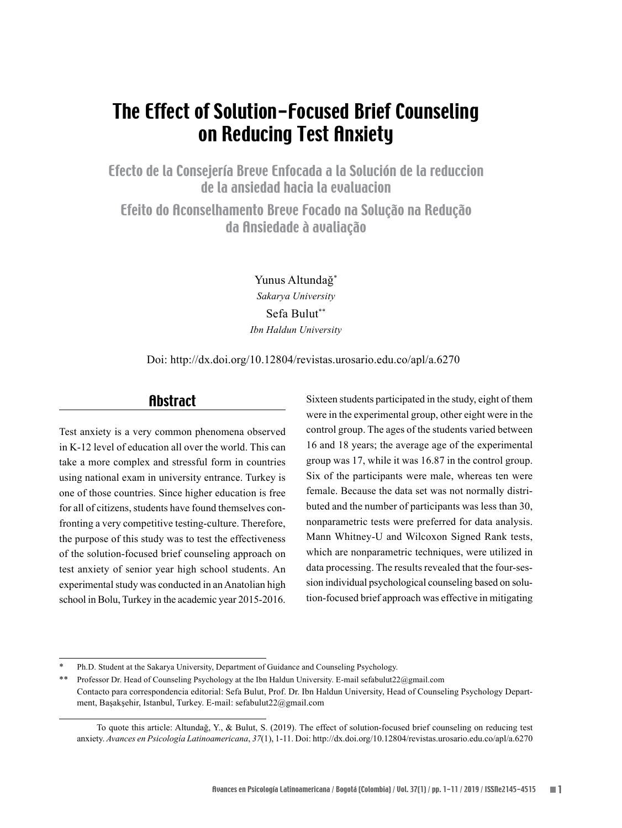# The Effect of Solution-Focused Brief Counseling on Reducing Test Anxiety

Efecto de la Consejería Breve Enfocada a la Solución de la reduccion de la ansiedad hacia la evaluacion

Efeito do Aconselhamento Breve Focado na Solução na Redução da Ansiedade à avaliação

> Yunus Altundağ\* *Sakarya University* Sefa Bulut\*\* *Ibn Haldun University*

Doi: http://dx.doi.org/10.12804/revistas.urosario.edu.co/apl/a.6270

## Abstract

Test anxiety is a very common phenomena observed in K-12 level of education all over the world. This can take a more complex and stressful form in countries using national exam in university entrance. Turkey is one of those countries. Since higher education is free for all of citizens, students have found themselves confronting a very competitive testing-culture. Therefore, the purpose of this study was to test the effectiveness of the solution-focused brief counseling approach on test anxiety of senior year high school students. An experimental study was conducted in an Anatolian high school in Bolu, Turkey in the academic year 2015-2016.

Sixteen students participated in the study, eight of them were in the experimental group, other eight were in the control group. The ages of the students varied between 16 and 18 years; the average age of the experimental group was 17, while it was 16.87 in the control group. Six of the participants were male, whereas ten were female. Because the data set was not normally distributed and the number of participants was less than 30, nonparametric tests were preferred for data analysis. Mann Whitney-U and Wilcoxon Signed Rank tests, which are nonparametric techniques, were utilized in data processing. The results revealed that the four-session individual psychological counseling based on solution-focused brief approach was effective in mitigating

Ph.D. Student at the Sakarya University, Department of Guidance and Counseling Psychology.

<sup>\*\*</sup> Professor Dr. Head of Counseling Psychology at the Ibn Haldun University. E-mail sefabulut22@gmail.com Contacto para correspondencia editorial: Sefa Bulut, Prof. Dr. Ibn Haldun University, Head of Counseling Psychology Department, Başakşehir, Istanbul, Turkey. E-mail: sefabulut22@gmail.com

To quote this article: Altundağ, Y., & Bulut, S. (2019). The effect of solution-focused brief counseling on reducing test anxiety. *Avances en Psicología Latinoamericana*, *37*(1), 1-11. Doi: http://dx.doi.org/10.12804/revistas.urosario.edu.co/apl/a.6270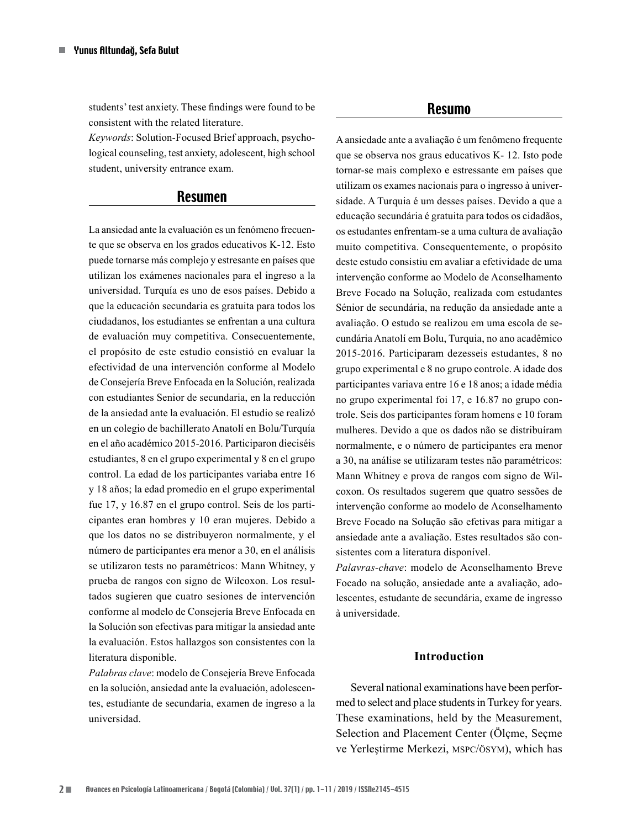students' test anxiety. These findings were found to be consistent with the related literature.

*Keywords*: Solution-Focused Brief approach, psychological counseling, test anxiety, adolescent, high school student, university entrance exam.

## Resumen

La ansiedad ante la evaluación es un fenómeno frecuente que se observa en los grados educativos K-12. Esto puede tornarse más complejo y estresante en países que utilizan los exámenes nacionales para el ingreso a la universidad. Turquía es uno de esos países. Debido a que la educación secundaria es gratuita para todos los ciudadanos, los estudiantes se enfrentan a una cultura de evaluación muy competitiva. Consecuentemente, el propósito de este estudio consistió en evaluar la efectividad de una intervención conforme al Modelo de Consejería Breve Enfocada en la Solución, realizada con estudiantes Senior de secundaria, en la reducción de la ansiedad ante la evaluación. El estudio se realizó en un colegio de bachillerato Anatolí en Bolu/Turquía en el año académico 2015-2016. Participaron dieciséis estudiantes, 8 en el grupo experimental y 8 en el grupo control. La edad de los participantes variaba entre 16 y 18 años; la edad promedio en el grupo experimental fue 17, y 16.87 en el grupo control. Seis de los participantes eran hombres y 10 eran mujeres. Debido a que los datos no se distribuyeron normalmente, y el número de participantes era menor a 30, en el análisis se utilizaron tests no paramétricos: Mann Whitney, y prueba de rangos con signo de Wilcoxon. Los resultados sugieren que cuatro sesiones de intervención conforme al modelo de Consejería Breve Enfocada en la Solución son efectivas para mitigar la ansiedad ante la evaluación. Estos hallazgos son consistentes con la literatura disponible.

*Palabras clave*: modelo de Consejería Breve Enfocada en la solución, ansiedad ante la evaluación, adolescentes, estudiante de secundaria, examen de ingreso a la universidad.

#### Resumo

A ansiedade ante a avaliação é um fenômeno frequente que se observa nos graus educativos K- 12. Isto pode tornar-se mais complexo e estressante em países que utilizam os exames nacionais para o ingresso à universidade. A Turquia é um desses países. Devido a que a educação secundária é gratuita para todos os cidadãos, os estudantes enfrentam-se a uma cultura de avaliação muito competitiva. Consequentemente, o propósito deste estudo consistiu em avaliar a efetividade de uma intervenção conforme ao Modelo de Aconselhamento Breve Focado na Solução, realizada com estudantes Sénior de secundária, na redução da ansiedade ante a avaliação. O estudo se realizou em uma escola de secundária Anatolí em Bolu, Turquia, no ano acadêmico 2015-2016. Participaram dezesseis estudantes, 8 no grupo experimental e 8 no grupo controle. A idade dos participantes variava entre 16 e 18 anos; a idade média no grupo experimental foi 17, e 16.87 no grupo controle. Seis dos participantes foram homens e 10 foram mulheres. Devido a que os dados não se distribuíram normalmente, e o número de participantes era menor a 30, na análise se utilizaram testes não paramétricos: Mann Whitney e prova de rangos com signo de Wilcoxon. Os resultados sugerem que quatro sessões de intervenção conforme ao modelo de Aconselhamento Breve Focado na Solução são efetivas para mitigar a ansiedade ante a avaliação. Estes resultados são consistentes com a literatura disponível.

*Palavras-chave*: modelo de Aconselhamento Breve Focado na solução, ansiedade ante a avaliação, adolescentes, estudante de secundária, exame de ingresso à universidade.

## **Introduction**

Several national examinations have been performed to select and place students in Turkey for years. These examinations, held by the Measurement, Selection and Placement Center (Ölçme, Seçme ve Yerleştirme Merkezi, mspc/ösym), which has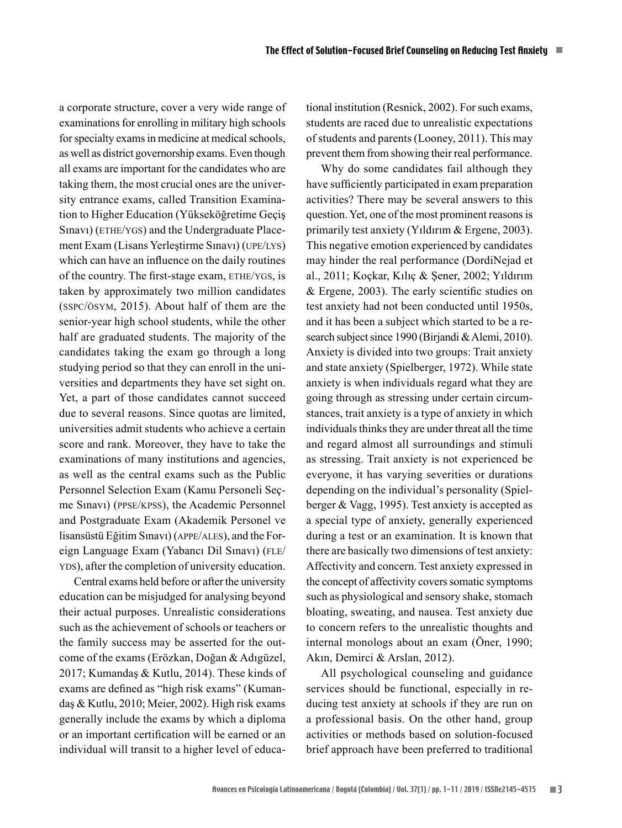a corporate structure, cover a very wide range of examinations for enrolling in military high schools for specialty exams in medicine at medical schools, as well as district governorship exams. Even though all exams are important for the candidates who are taking them, the most crucial ones are the university entrance exams, called Transition Examination to Higher Education (Yükseköğretime Geçiş Sinavi) (ETHE/YGS) and the Undergraduate Placement Exam (Lisans Yerleştirme Sınavı) (upe/lys) which can have an influence on the daily routines of the country. The first-stage exam, ETHE/YGS, is taken by approximately two million candidates (sspc/ösym, 2015). About half of them are the senior-year high school students, while the other half are graduated students. The majority of the candidates taking the exam go through a long studying period so that they can enroll in the universities and departments they have set sight on. Yet, a part of those candidates cannot succeed due to several reasons. Since quotas are limited, universities admit students who achieve a certain score and rank. Moreover, they have to take the examinations of many institutions and agencies, as well as the central exams such as the Public Personnel Selection Exam (Kamu Personeli Seçme Sınavı) (ppse/kpss), the Academic Personnel and Postgraduate Exam (Akademik Personel ve lisansüstü Eğitim Sınavı) (appe/ales), and the Foreign Language Exam (Yabancı Dil Sınavı) (FLE/ yds), after the completion of university education.

Central exams held before or after the university education can be misjudged for analysing beyond their actual purposes. Unrealistic considerations such as the achievement of schools or teachers or the family success may be asserted for the outcome of the exams (Erözkan, Doğan & Adıgüzel, 2017; Kumandaş & Kutlu, 2014). These kinds of exams are defined as "high risk exams" (Kumandaş & Kutlu, 2010; Meier, 2002). High risk exams generally include the exams by which a diploma or an important certification will be earned or an individual will transit to a higher level of educational institution (Resnick, 2002). For such exams, students are raced due to unrealistic expectations of students and parents (Looney, 2011). This may prevent them from showing their real performance.

Why do some candidates fail although they have sufficiently participated in exam preparation activities? There may be several answers to this question. Yet, one of the most prominent reasons is primarily test anxiety (Yıldırım & Ergene, 2003). This negative emotion experienced by candidates may hinder the real performance (DordiNejad et al., 2011; Koçkar, Kılıç & Şener, 2002; Yıldırım & Ergene, 2003). The early scientific studies on test anxiety had not been conducted until 1950s, and it has been a subject which started to be a research subject since 1990 (Birjandi & Alemi, 2010). Anxiety is divided into two groups: Trait anxiety and state anxiety (Spielberger, 1972). While state anxiety is when individuals regard what they are going through as stressing under certain circumstances, trait anxiety is a type of anxiety in which individuals thinks they are under threat all the time and regard almost all surroundings and stimuli as stressing. Trait anxiety is not experienced be everyone, it has varying severities or durations depending on the individual's personality (Spielberger & Vagg, 1995). Test anxiety is accepted as a special type of anxiety, generally experienced during a test or an examination. It is known that there are basically two dimensions of test anxiety: Affectivity and concern. Test anxiety expressed in the concept of affectivity covers somatic symptoms such as physiological and sensory shake, stomach bloating, sweating, and nausea. Test anxiety due to concern refers to the unrealistic thoughts and internal monologs about an exam (Öner, 1990; Akın, Demirci & Arslan, 2012).

All psychological counseling and guidance services should be functional, especially in reducing test anxiety at schools if they are run on a professional basis. On the other hand, group activities or methods based on solution-focused brief approach have been preferred to traditional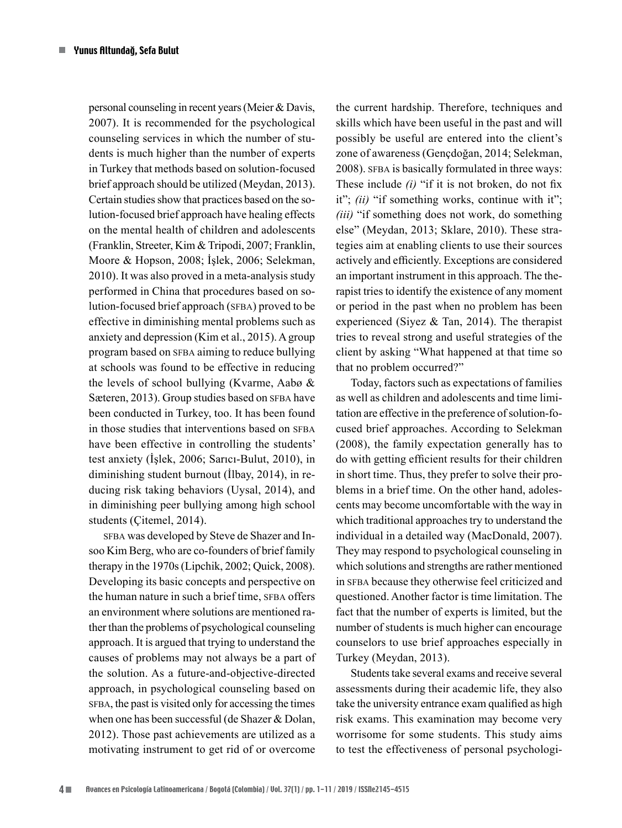personal counseling in recent years (Meier & Davis, 2007). It is recommended for the psychological counseling services in which the number of students is much higher than the number of experts in Turkey that methods based on solution-focused brief approach should be utilized (Meydan, 2013). Certain studies show that practices based on the solution-focused brief approach have healing effects on the mental health of children and adolescents (Franklin, Streeter, Kim & Tripodi, 2007; Franklin, Moore & Hopson, 2008; İşlek, 2006; Selekman, 2010). It was also proved in a meta-analysis study performed in China that procedures based on solution-focused brief approach (SFBA) proved to be effective in diminishing mental problems such as anxiety and depression (Kim et al., 2015). A group program based on SFBA aiming to reduce bullying at schools was found to be effective in reducing the levels of school bullying (Kvarme, Aabø & Sæteren, 2013). Group studies based on SFBA have been conducted in Turkey, too. It has been found in those studies that interventions based on SFBA have been effective in controlling the students' test anxiety (İşlek, 2006; Sarıcı-Bulut, 2010), in diminishing student burnout (İlbay, 2014), in reducing risk taking behaviors (Uysal, 2014), and in diminishing peer bullying among high school students (Çitemel, 2014).

sFBA was developed by Steve de Shazer and Insoo Kim Berg, who are co-founders of brief family therapy in the 1970s (Lipchik, 2002; Quick, 2008). Developing its basic concepts and perspective on the human nature in such a brief time, SFBA offers an environment where solutions are mentioned rather than the problems of psychological counseling approach. It is argued that trying to understand the causes of problems may not always be a part of the solution. As a future-and-objective-directed approach, in psychological counseling based on SFBA, the past is visited only for accessing the times when one has been successful (de Shazer & Dolan, 2012). Those past achievements are utilized as a motivating instrument to get rid of or overcome

the current hardship. Therefore, techniques and skills which have been useful in the past and will possibly be useful are entered into the client's zone of awareness (Gençdoğan, 2014; Selekman, 2008). SFBA is basically formulated in three ways: These include *(i)* "if it is not broken, do not fix it"; *(ii)* "if something works, continue with it"; *(iii)* "if something does not work, do something else" (Meydan, 2013; Sklare, 2010). These strategies aim at enabling clients to use their sources actively and efficiently. Exceptions are considered an important instrument in this approach. The therapist tries to identify the existence of any moment or period in the past when no problem has been experienced (Siyez & Tan, 2014). The therapist tries to reveal strong and useful strategies of the client by asking "What happened at that time so that no problem occurred?"

Today, factors such as expectations of families as well as children and adolescents and time limitation are effective in the preference of solution-focused brief approaches. According to Selekman (2008), the family expectation generally has to do with getting efficient results for their children in short time. Thus, they prefer to solve their problems in a brief time. On the other hand, adolescents may become uncomfortable with the way in which traditional approaches try to understand the individual in a detailed way (MacDonald, 2007). They may respond to psychological counseling in which solutions and strengths are rather mentioned in SFBA because they otherwise feel criticized and questioned. Another factor is time limitation. The fact that the number of experts is limited, but the number of students is much higher can encourage counselors to use brief approaches especially in Turkey (Meydan, 2013).

Students take several exams and receive several assessments during their academic life, they also take the university entrance exam qualified as high risk exams. This examination may become very worrisome for some students. This study aims to test the effectiveness of personal psychologi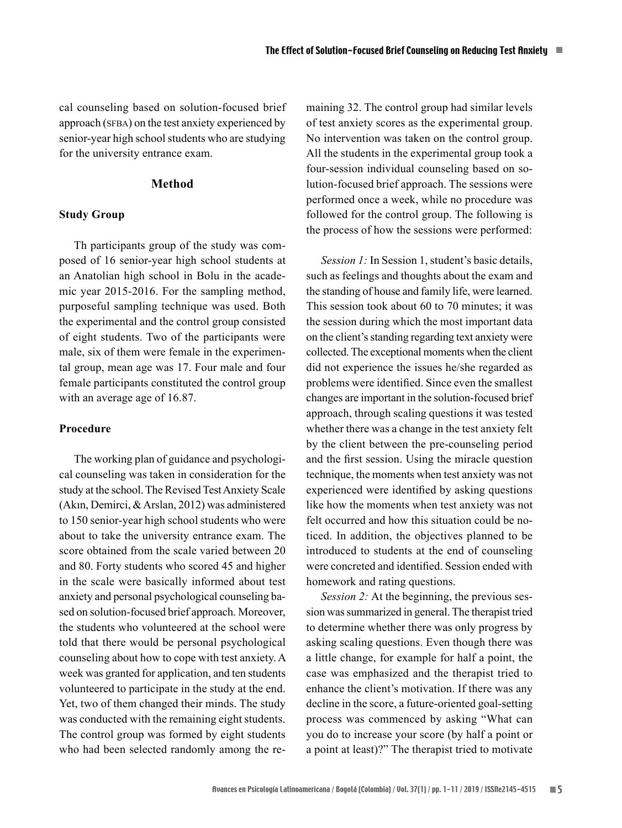cal counseling based on solution-focused brief approach (SFBA) on the test anxiety experienced by senior-year high school students who are studying for the university entrance exam.

## **Method**

#### **Study Group**

Th participants group of the study was composed of 16 senior-year high school students at an Anatolian high school in Bolu in the academic year 2015-2016. For the sampling method, purposeful sampling technique was used. Both the experimental and the control group consisted of eight students. Two of the participants were male, six of them were female in the experimental group, mean age was 17. Four male and four female participants constituted the control group with an average age of 16.87.

## **Procedure**

The working plan of guidance and psychological counseling was taken in consideration for the study at the school. The Revised Test Anxiety Scale (Akın, Demirci, & Arslan, 2012) was administered to 150 senior-year high school students who were about to take the university entrance exam. The score obtained from the scale varied between 20 and 80. Forty students who scored 45 and higher in the scale were basically informed about test anxiety and personal psychological counseling based on solution-focused brief approach. Moreover, the students who volunteered at the school were told that there would be personal psychological counseling about how to cope with test anxiety. A week was granted for application, and ten students volunteered to participate in the study at the end. Yet, two of them changed their minds. The study was conducted with the remaining eight students. The control group was formed by eight students who had been selected randomly among the re-

maining 32. The control group had similar levels of test anxiety scores as the experimental group. No intervention was taken on the control group. All the students in the experimental group took a four-session individual counseling based on solution-focused brief approach. The sessions were performed once a week, while no procedure was followed for the control group. The following is the process of how the sessions were performed:

*Session 1:* In Session 1, student's basic details, such as feelings and thoughts about the exam and the standing of house and family life, were learned. This session took about 60 to 70 minutes; it was the session during which the most important data on the client's standing regarding text anxiety were collected. The exceptional moments when the client did not experience the issues he/she regarded as problems were identified. Since even the smallest changes are important in the solution-focused brief approach, through scaling questions it was tested whether there was a change in the test anxiety felt by the client between the pre-counseling period and the first session. Using the miracle question technique, the moments when test anxiety was not experienced were identified by asking questions like how the moments when test anxiety was not felt occurred and how this situation could be noticed. In addition, the objectives planned to be introduced to students at the end of counseling were concreted and identified. Session ended with homework and rating questions.

*Session 2:* At the beginning, the previous session was summarized in general. The therapist tried to determine whether there was only progress by asking scaling questions. Even though there was a little change, for example for half a point, the case was emphasized and the therapist tried to enhance the client's motivation. If there was any decline in the score, a future-oriented goal-setting process was commenced by asking "What can you do to increase your score (by half a point or a point at least)?" The therapist tried to motivate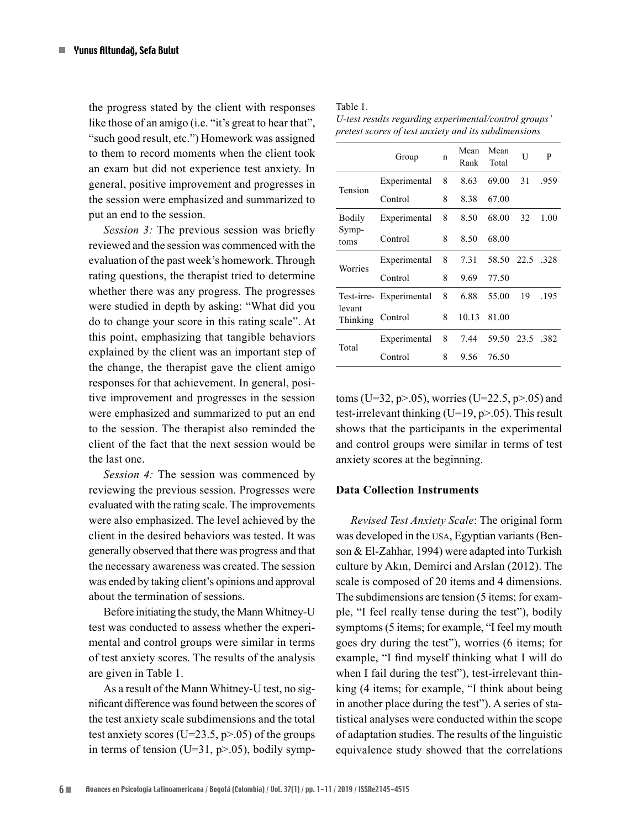the progress stated by the client with responses like those of an amigo (i.e. "it's great to hear that", "such good result, etc.") Homework was assigned to them to record moments when the client took an exam but did not experience test anxiety. In general, positive improvement and progresses in the session were emphasized and summarized to put an end to the session.

*Session 3:* The previous session was briefly reviewed and the session was commenced with the evaluation of the past week's homework. Through rating questions, the therapist tried to determine whether there was any progress. The progresses were studied in depth by asking: "What did you do to change your score in this rating scale". At this point, emphasizing that tangible behaviors explained by the client was an important step of the change, the therapist gave the client amigo responses for that achievement. In general, positive improvement and progresses in the session were emphasized and summarized to put an end to the session. The therapist also reminded the client of the fact that the next session would be the last one.

*Session 4:* The session was commenced by reviewing the previous session. Progresses were evaluated with the rating scale. The improvements were also emphasized. The level achieved by the client in the desired behaviors was tested. It was generally observed that there was progress and that the necessary awareness was created. The session was ended by taking client's opinions and approval about the termination of sessions.

Before initiating the study, the Mann Whitney-U test was conducted to assess whether the experimental and control groups were similar in terms of test anxiety scores. The results of the analysis are given in Table 1.

As a result of the Mann Whitney-U test, no significant difference was found between the scores of the test anxiety scale subdimensions and the total test anxiety scores (U=23.5,  $p$ >.05) of the groups in terms of tension (U=31,  $p$ >.05), bodily symp-

|  |  | п |  |
|--|--|---|--|
|--|--|---|--|

*U-test results regarding experimental/control groups' pretest scores of test anxiety and its subdimensions*

|                    | Group                   | n | Mean<br>Rank | Mean<br>Total  | U  | P    |
|--------------------|-------------------------|---|--------------|----------------|----|------|
| Tension            | Experimental            | 8 | 8.63         | 69.00          | 31 | .959 |
|                    | Control                 | 8 | 8.38         | 67.00          |    |      |
| Bodily             | Experimental            | 8 | 8.50         | 68.00          | 32 | 1.00 |
| Symp-<br>toms      | Control                 | 8 | 8.50         | 68.00          |    |      |
| Worries            | Experimental            | 8 | 7.31         | 58.50 22.5 328 |    |      |
|                    | Control                 | 8 | 9.69         | 77.50          |    |      |
|                    | Test-irre- Experimental | 8 | 6.88         | 55.00          | 19 | .195 |
| levant<br>Thinking | Control                 | 8 | 10.13        | 81.00          |    |      |
| Total              | Experimental            | 8 | 7.44         | 59.50 23.5 382 |    |      |
|                    | Control                 | 8 | 9.56         | 76.50          |    |      |

toms (U=32, p>.05), worries (U=22.5, p>.05) and test-irrelevant thinking (U=19, p>.05). This result shows that the participants in the experimental and control groups were similar in terms of test anxiety scores at the beginning.

#### **Data Collection Instruments**

*Revised Test Anxiety Scale*: The original form was developed in the usa, Egyptian variants (Benson & El-Zahhar, 1994) were adapted into Turkish culture by Akın, Demirci and Arslan (2012). The scale is composed of 20 items and 4 dimensions. The subdimensions are tension (5 items; for example, "I feel really tense during the test"), bodily symptoms (5 items; for example, "I feel my mouth goes dry during the test"), worries (6 items; for example, "I find myself thinking what I will do when I fail during the test"), test-irrelevant thinking (4 items; for example, "I think about being in another place during the test"). A series of statistical analyses were conducted within the scope of adaptation studies. The results of the linguistic equivalence study showed that the correlations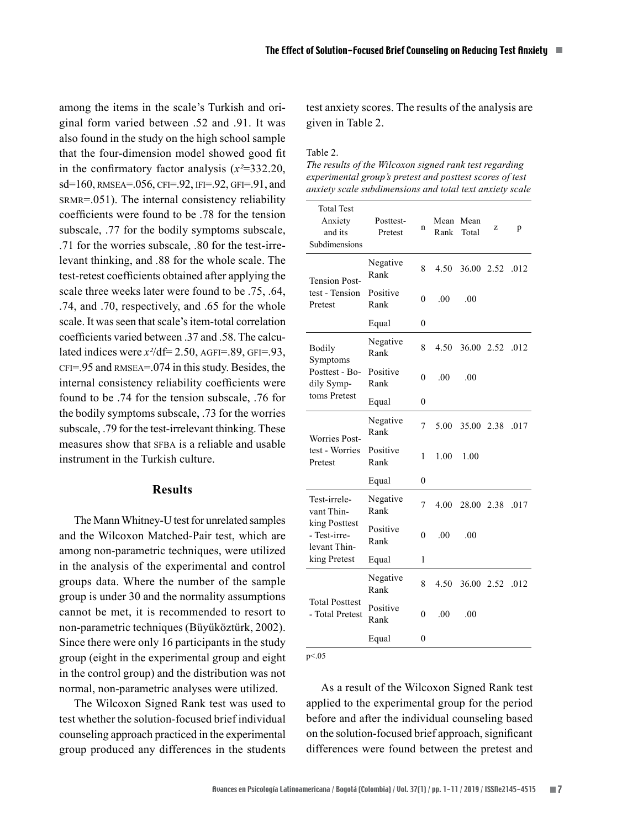among the items in the scale's Turkish and original form varied between .52 and .91. It was also found in the study on the high school sample that the four-dimension model showed good fit in the confirmatory factor analysis (*x²*=332.20, sd=160, RMSEA=.056, CFI=.92, IFI=.92, GFI=.91, and srmr=.051). The internal consistency reliability coefficients were found to be .78 for the tension subscale, .77 for the bodily symptoms subscale, .71 for the worries subscale, .80 for the test-irrelevant thinking, and .88 for the whole scale. The test-retest coefficients obtained after applying the scale three weeks later were found to be .75, .64, .74, and .70, respectively, and .65 for the whole scale. It was seen that scale's item-total correlation coefficients varied between 37 and 58. The calculated indices were  $x^2$ /df= 2.50, AGFI=.89, GFI=.93,  $CFI = .95$  and RMSEA $= .074$  in this study. Besides, the internal consistency reliability coefficients were found to be .74 for the tension subscale, .76 for the bodily symptoms subscale, .73 for the worries subscale, .79 for the test-irrelevant thinking. These measures show that SFBA is a reliable and usable instrument in the Turkish culture.

## **Results**

The Mann Whitney-U test for unrelated samples and the Wilcoxon Matched-Pair test, which are among non-parametric techniques, were utilized in the analysis of the experimental and control groups data. Where the number of the sample group is under 30 and the normality assumptions cannot be met, it is recommended to resort to non-parametric techniques (Büyüköztürk, 2002). Since there were only 16 participants in the study group (eight in the experimental group and eight in the control group) and the distribution was not normal, non-parametric analyses were utilized.

The Wilcoxon Signed Rank test was used to test whether the solution-focused brief individual counseling approach practiced in the experimental group produced any differences in the students test anxiety scores. The results of the analysis are given in Table 2.

Table 2.

*The results of the Wilcoxon signed rank test regarding experimental group's pretest and posttest scores of test anxiety scale subdimensions and total text anxiety scale*

| <b>Total Test</b><br>Anxiety<br>and its<br>Subdimensions                                    | Posttest-<br>Pretest | n            | Rank | Mean Mean<br>Total | Z    | p    |
|---------------------------------------------------------------------------------------------|----------------------|--------------|------|--------------------|------|------|
| <b>Tension Post-</b><br>test - Tension<br>Pretest                                           | Negative<br>Rank     | 8            | 4.50 | 36.00 2.52         |      | .012 |
|                                                                                             | Positive<br>Rank     | 0            | .00  | .00                |      |      |
|                                                                                             | Equal                | 0            |      |                    |      |      |
| <b>Bodily</b><br>Symptoms<br>Posttest - Bo-<br>dily Symp-                                   | Negative<br>Rank     | 8            | 4.50 | 36.00 2.52         |      | .012 |
|                                                                                             | Positive<br>Rank     | $\theta$     | .00  | .00                |      |      |
| toms Pretest                                                                                | Equal                | $\theta$     |      |                    |      |      |
| <b>Worries Post-</b><br>test - Worries<br>Pretest                                           | Negative<br>Rank     | 7            | 5.00 | 35.00 2.38         |      | .017 |
|                                                                                             | Positive<br>Rank     | 1            | 1.00 | 1.00               |      |      |
|                                                                                             | Equal                | $\theta$     |      |                    |      |      |
| Test-irrele-<br>vant Thin-<br>king Posttest<br>- Test-irre-<br>levant Thin-<br>king Pretest | Negative<br>Rank     | 7            | 4.00 | 28.00              | 2.38 | .017 |
|                                                                                             | Positive<br>Rank     | $\mathbf{0}$ | .00  | .00                |      |      |
|                                                                                             | Equal                | 1            |      |                    |      |      |
| <b>Total Posttest</b><br>- Total Pretest                                                    | Negative<br>Rank     | 8            | 4.50 | 36.00 2.52         |      | .012 |
|                                                                                             | Positive<br>Rank     | 0            | .00  | .00                |      |      |
|                                                                                             | Equal                | $\theta$     |      |                    |      |      |

p<.05

As a result of the Wilcoxon Signed Rank test applied to the experimental group for the period before and after the individual counseling based on the solution-focused brief approach, significant differences were found between the pretest and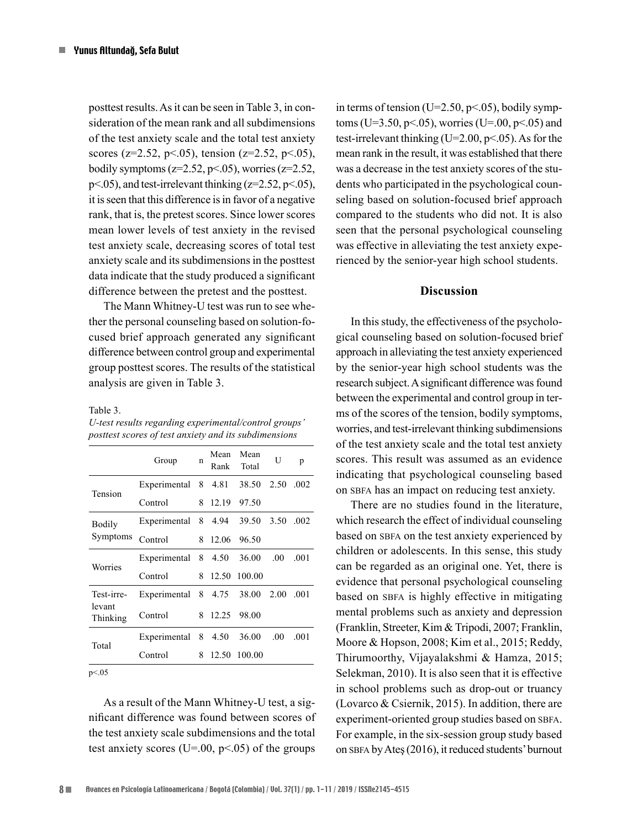posttest results. As it can be seen in Table 3, in consideration of the mean rank and all subdimensions of the test anxiety scale and the total test anxiety scores (z=2.52, p<.05), tension (z=2.52, p<.05), bodily symptoms ( $z=2.52$ ,  $p<.05$ ), worries ( $z=2.52$ ,  $p<05$ ), and test-irrelevant thinking ( $z=2.52$ ,  $p<05$ ), it is seen that this difference is in favor of a negative rank, that is, the pretest scores. Since lower scores mean lower levels of test anxiety in the revised test anxiety scale, decreasing scores of total test anxiety scale and its subdimensions in the posttest data indicate that the study produced a significant difference between the pretest and the posttest.

The Mann Whitney-U test was run to see whether the personal counseling based on solution-focused brief approach generated any significant difference between control group and experimental group posttest scores. The results of the statistical analysis are given in Table 3.

Table 3.

*U-test results regarding experimental/control groups' posttest scores of test anxiety and its subdimensions*

|                                  | Group               | n | Mean<br>Rank | Mean<br>Total | U    | p    |
|----------------------------------|---------------------|---|--------------|---------------|------|------|
| Tension                          | Experimental        |   | 8 4.81       | 38.50         | 2.50 | .002 |
|                                  | Control             | 8 | 12.19        | 97.50         |      |      |
| Bodily<br>Symptoms               | Experimental 8 4.94 |   |              | 39.50         | 3.50 | .002 |
|                                  | Control             | 8 | 12.06        | 96.50         |      |      |
| Worries                          | Experimental 8 4.50 |   |              | 36.00         | .00  | .001 |
|                                  | Control             |   | 8 12.50      | 100.00        |      |      |
| Test-irre-<br>levant<br>Thinking | Experimental        |   | 8 4.75       | 38.00         | 2.00 | .001 |
|                                  | Control             |   | 8 12.25      | 98.00         |      |      |
| Total                            | Experimental        | 8 | 4.50         | 36.00         | .00  | .001 |
|                                  | Control             | 8 | 12.50        | 100.00        |      |      |
|                                  |                     |   |              |               |      |      |

 $p < 05$ 

As a result of the Mann Whitney-U test, a significant difference was found between scores of the test anxiety scale subdimensions and the total test anxiety scores (U=.00,  $p<.05$ ) of the groups

in terms of tension (U=2.50, p<.05), bodily symptoms (U=3.50, p < 05), worries (U=.00, p < 05) and test-irrelevant thinking  $(U=2.00, p<0.05)$ . As for the mean rank in the result, it was established that there was a decrease in the test anxiety scores of the students who participated in the psychological counseling based on solution-focused brief approach compared to the students who did not. It is also seen that the personal psychological counseling was effective in alleviating the test anxiety experienced by the senior-year high school students.

## **Discussion**

In this study, the effectiveness of the psychological counseling based on solution-focused brief approach in alleviating the test anxiety experienced by the senior-year high school students was the research subject. A significant difference was found between the experimental and control group in terms of the scores of the tension, bodily symptoms, worries, and test-irrelevant thinking subdimensions of the test anxiety scale and the total test anxiety scores. This result was assumed as an evidence indicating that psychological counseling based on sbfa has an impact on reducing test anxiety.

There are no studies found in the literature, which research the effect of individual counseling based on SBFA on the test anxiety experienced by children or adolescents. In this sense, this study can be regarded as an original one. Yet, there is evidence that personal psychological counseling based on SBFA is highly effective in mitigating mental problems such as anxiety and depression (Franklin, Streeter, Kim & Tripodi, 2007; Franklin, Moore & Hopson, 2008; Kim et al., 2015; Reddy, Thirumoorthy, Vijayalakshmi & Hamza, 2015; Selekman, 2010). It is also seen that it is effective in school problems such as drop-out or truancy (Lovarco & Csiernik, 2015). In addition, there are experiment-oriented group studies based on SBFA. For example, in the six-session group study based on sbfa by Ateş (2016), it reduced students' burnout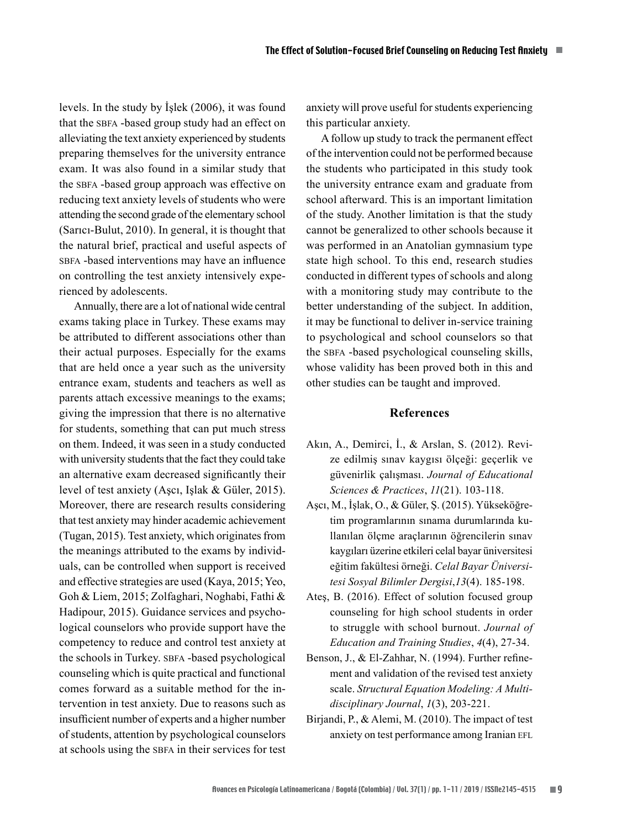levels. In the study by İşlek (2006), it was found that the SBFA -based group study had an effect on alleviating the text anxiety experienced by students preparing themselves for the university entrance exam. It was also found in a similar study that the sbfa -based group approach was effective on reducing text anxiety levels of students who were attending the second grade of the elementary school (Sarıcı-Bulut, 2010). In general, it is thought that the natural brief, practical and useful aspects of sbfa -based interventions may have an influence on controlling the test anxiety intensively experienced by adolescents.

Annually, there are a lot of national wide central exams taking place in Turkey. These exams may be attributed to different associations other than their actual purposes. Especially for the exams that are held once a year such as the university entrance exam, students and teachers as well as parents attach excessive meanings to the exams; giving the impression that there is no alternative for students, something that can put much stress on them. Indeed, it was seen in a study conducted with university students that the fact they could take an alternative exam decreased significantly their level of test anxiety (Aşcı, Işlak & Güler, 2015). Moreover, there are research results considering that test anxiety may hinder academic achievement (Tugan, 2015). Test anxiety, which originates from the meanings attributed to the exams by individuals, can be controlled when support is received and effective strategies are used (Kaya, 2015; Yeo, Goh & Liem, 2015; Zolfaghari, Noghabi, Fathi & Hadipour, 2015). Guidance services and psychological counselors who provide support have the competency to reduce and control test anxiety at the schools in Turkey. SBFA -based psychological counseling which is quite practical and functional comes forward as a suitable method for the intervention in test anxiety. Due to reasons such as insufficient number of experts and a higher number of students, attention by psychological counselors at schools using the sbfa in their services for test anxiety will prove useful for students experiencing this particular anxiety.

A follow up study to track the permanent effect of the intervention could not be performed because the students who participated in this study took the university entrance exam and graduate from school afterward. This is an important limitation of the study. Another limitation is that the study cannot be generalized to other schools because it was performed in an Anatolian gymnasium type state high school. To this end, research studies conducted in different types of schools and along with a monitoring study may contribute to the better understanding of the subject. In addition, it may be functional to deliver in-service training to psychological and school counselors so that the sbfa -based psychological counseling skills, whose validity has been proved both in this and other studies can be taught and improved.

## **References**

- Akın, A., Demirci, İ., & Arslan, S. (2012). Revize edilmiş sınav kaygısı ölçeği: geçerlik ve güvenirlik çalışması. *Journal of Educational Sciences & Practices*, *11*(21). 103-118.
- Aşcı, M., İşlak, O., & Güler, Ş. (2015). Yükseköğretim programlarının sınama durumlarında kullanılan ölçme araçlarının öğrencilerin sınav kaygıları üzerine etkileri celal bayar üniversitesi eğitim fakültesi örneği. *Celal Bayar Üniversitesi Sosyal Bilimler Dergisi*,*13*(4). 185-198.
- Ateş, B. (2016). Effect of solution focused group counseling for high school students in order to struggle with school burnout. *Journal of Education and Training Studies*, *4*(4), 27-34.
- Benson, J., & El-Zahhar, N. (1994). Further refinement and validation of the revised test anxiety scale. *Structural Equation Modeling: A Multidisciplinary Journal*, *1*(3), 203-221.
- Birjandi, P., & Alemi, M. (2010). The impact of test anxiety on test performance among Iranian EFL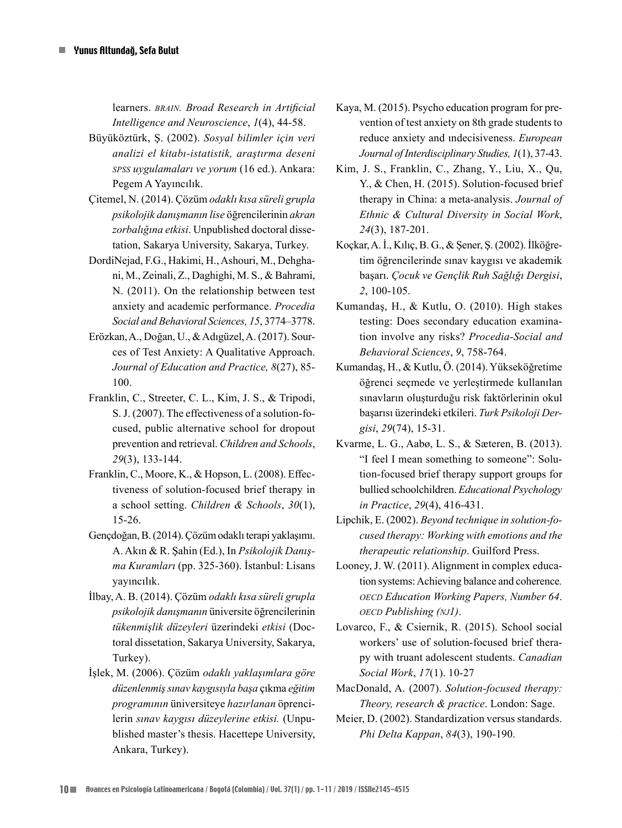learners. *brain. Broad Research in Artificial Intelligence and Neuroscience*, *1*(4), 44-58.

- Büyüköztürk, Ş. (2002). *Sosyal bilimler için veri analizi el kitabı-istatistik, araştırma deseni spss uygulamaları ve yorum* (16 ed.). Ankara: Pegem A Yayıncılık.
- Çitemel, N. (2014). Çözüm *odaklı kısa süreli grupla psikolojik danışmanın lise* öğrencilerinin *akran zorbalığına etkisi*. Unpublished doctoral dissetation, Sakarya University, Sakarya, Turkey.
- DordiNejad, F.G., Hakimi, H., Ashouri, M., Dehghani, M., Zeinali, Z., Daghighi, M. S., & Bahrami, N. (2011). On the relationship between test anxiety and academic performance. *Procedia Social and Behavioral Sciences, 15*, 3774–3778.
- Erözkan, A., Doğan, U., & Adıgüzel, A. (2017). Sources of Test Anxiety: A Qualitative Approach. *Journal of Education and Practice, 8*(27), 85- 100.
- Franklin, C., Streeter, C. L., Kim, J. S., & Tripodi, S. J. (2007). The effectiveness of a solution-focused, public alternative school for dropout prevention and retrieval. *Children and Schools*, *29*(3), 133-144.
- Franklin, C., Moore, K., & Hopson, L. (2008). Effectiveness of solution-focused brief therapy in a school setting. *Children & Schools*, *30*(1), 15-26.
- Gençdoğan, B. (2014). Çözüm odaklı terapi yaklaşımı. A. Akın & R. Şahin (Ed.), In *Psikolojik Danışma Kuramları* (pp. 325-360). İstanbul: Lisans yayıncılık.
- İlbay, A. B. (2014). Çözüm *odaklı kısa süreli grupla psikolojik danışmanın* üniversite öğrencilerinin *tükenmişlik düzeyleri* üzerindeki *etkisi* (Doctoral dissetation, Sakarya University, Sakarya, Turkey).
- İşlek, M. (2006). Çözüm *odaklı yaklaşımlara göre düzenlenmiş sınav kaygısıyla başa* çıkma *eğitim programının* üniversiteye *hazırlanan* öprencilerin *sınav kaygısı düzeylerine etkisi.* (Unpublished master's thesis. Hacettepe University, Ankara, Turkey).
- Kaya, M. (2015). Psycho education program for prevention of test anxiety on 8th grade students to reduce anxiety and ındecisiveness. *European Journal of Interdisciplinary Studies, 1*(1), 37-43.
- Kim, J. S., Franklin, C., Zhang, Y., Liu, X., Qu, Y., & Chen, H. (2015). Solution-focused brief therapy in China: a meta-analysis. *Journal of Ethnic & Cultural Diversity in Social Work*, *24*(3), 187-201.
- Koçkar, A. İ., Kılıç, B. G., & Şener, Ş. (2002). İlköğretim öğrencilerinde sınav kaygısı ve akademik başarı. *Çocuk ve Gençlik Ruh Sağlığı Dergisi*, *2*, 100-105.
- Kumandaş, H., & Kutlu, O. (2010). High stakes testing: Does secondary education examination involve any risks? *Procedia-Social and Behavioral Sciences*, *9*, 758-764.
- Kumandaş, H., & Kutlu, Ö. (2014). Yükseköğretime öğrenci seçmede ve yerleştirmede kullanılan sınavların oluşturduğu risk faktörlerinin okul başarısı üzerindeki etkileri. *Turk Psikoloji Dergisi*, *29*(74), 15-31.
- Kvarme, L. G., Aabø, L. S., & Sæteren, B. (2013). "I feel I mean something to someone": Solution-focused brief therapy support groups for bullied schoolchildren. *Educational Psychology in Practice*, *29*(4), 416-431.
- Lipchik, E. (2002). *Beyond technique in solution-focused therapy: Working with emotions and the therapeutic relationship*. Guilford Press.
- Looney, J. W. (2011). Alignment in complex education systems: Achieving balance and coherence*. oecd Education Working Papers, Number 64*. *oecd Publishing (nj1)*.
- Lovarco, F., & Csiernik, R. (2015). School social workers' use of solution-focused brief therapy with truant adolescent students. *Canadian Social Work*, *17*(1). 10-27
- MacDonald, A. (2007). *Solution-focused therapy: Theory, research & practice*. London: Sage.
- Meier, D. (2002). Standardization versus standards. *Phi Delta Kappan*, *84*(3), 190-190.